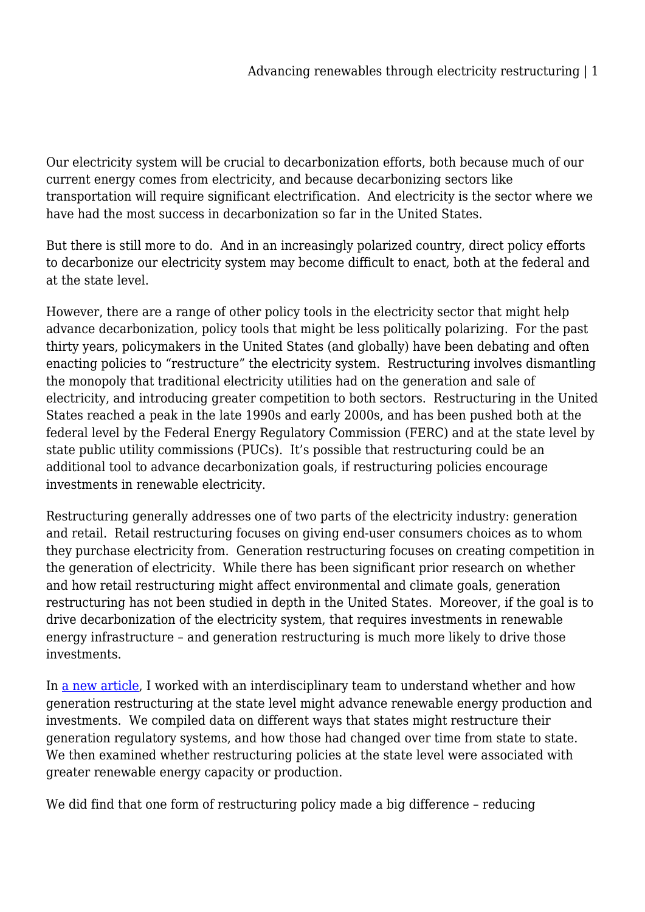Our electricity system will be crucial to decarbonization efforts, both because much of our current energy comes from electricity, and because decarbonizing sectors like transportation will require significant electrification. And electricity is the sector where we have had the most success in decarbonization so far in the United States.

But there is still more to do. And in an increasingly polarized country, direct policy efforts to decarbonize our electricity system may become difficult to enact, both at the federal and at the state level.

However, there are a range of other policy tools in the electricity sector that might help advance decarbonization, policy tools that might be less politically polarizing. For the past thirty years, policymakers in the United States (and globally) have been debating and often enacting policies to "restructure" the electricity system. Restructuring involves dismantling the monopoly that traditional electricity utilities had on the generation and sale of electricity, and introducing greater competition to both sectors. Restructuring in the United States reached a peak in the late 1990s and early 2000s, and has been pushed both at the federal level by the Federal Energy Regulatory Commission (FERC) and at the state level by state public utility commissions (PUCs). It's possible that restructuring could be an additional tool to advance decarbonization goals, if restructuring policies encourage investments in renewable electricity.

Restructuring generally addresses one of two parts of the electricity industry: generation and retail. Retail restructuring focuses on giving end-user consumers choices as to whom they purchase electricity from. Generation restructuring focuses on creating competition in the generation of electricity. While there has been significant prior research on whether and how retail restructuring might affect environmental and climate goals, generation restructuring has not been studied in depth in the United States. Moreover, if the goal is to drive decarbonization of the electricity system, that requires investments in renewable energy infrastructure – and generation restructuring is much more likely to drive those investments.

In [a new article](https://www.eba-net.org/assets/1/6/6_-_%5bHe___Biber___Aki___Haksinger___Phillips%5d_%5b125-165%5d.pdf), I worked with an interdisciplinary team to understand whether and how generation restructuring at the state level might advance renewable energy production and investments. We compiled data on different ways that states might restructure their generation regulatory systems, and how those had changed over time from state to state. We then examined whether restructuring policies at the state level were associated with greater renewable energy capacity or production.

We did find that one form of restructuring policy made a big difference - reducing